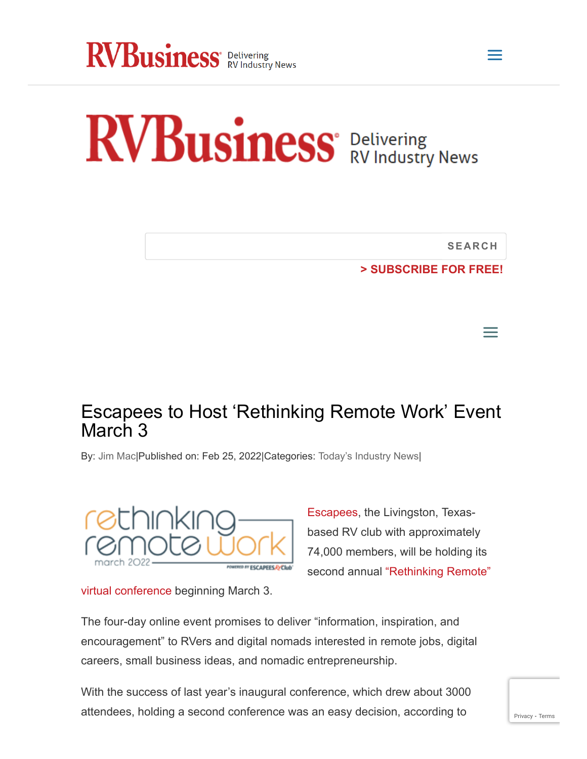

## RVBusiness' Delivering<br>RVBusiness' RV Industry News

**SEARCH**

 $\equiv$ 

a

**[> SUBSCRIBE](https://rvbusiness.com/subscribe/) FOR FREE!**

## Escapees to Host 'Rethinking Remote Work' Event March 3

By: [Jim Mac|](https://rvbusiness.com/author/jim-mac/)Published on: Feb 25, 2022|Categories: [Today's Industry News|](https://rvbusiness.com/category/todays-industry-news/)



[Escapees](https://escapees.com/), the Livingston, Texasbased RV club with approximately 74,000 members, will be holding its second annual "Rethinking Remote"

[virtual conference beginning March 3.](https://rethinkingremote.heysummit.com/)

The four-day online event promises to deliver "information, inspiration, and encouragement" to RVers and digital nomads interested in remote jobs, digital careers, small business ideas, and nomadic entrepreneurship.

With the success of last year's inaugural conference, which drew about 3000 attendees, holding a second conference was an easy decision, according to  $P_{\text{Privacy - Terms}}$  $P_{\text{Privacy - Terms}}$  $P_{\text{Privacy - Terms}}$  $P_{\text{Privacy - Terms}}$  $P_{\text{Privacy - Terms}}$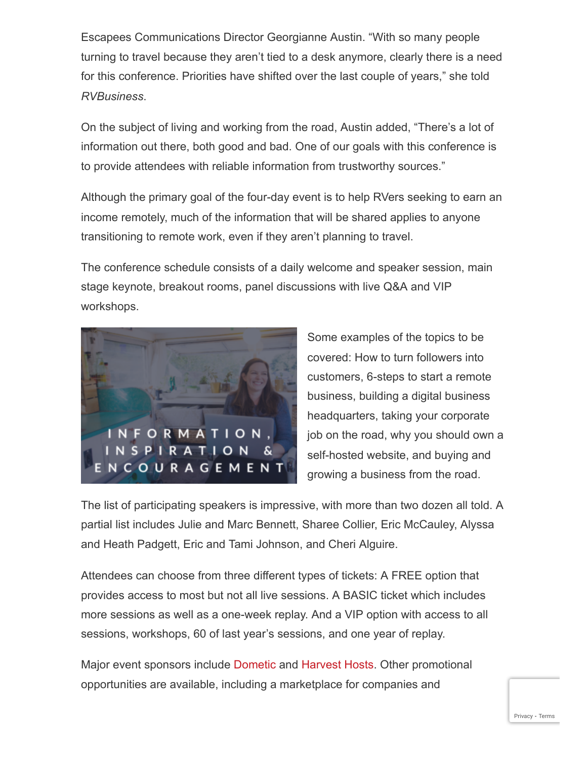Escapees Communications Director Georgianne Austin. "With so many people turning to travel because they aren't tied to a desk anymore, clearly there is a need for this conference. Priorities have shifted over the last couple of years," she told *RVBusiness*.

On the subject of living and working from the road, Austin added, "There's a lot of information out there, both good and bad. One of our goals with this conference is to provide attendees with reliable information from trustworthy sources."

Although the primary goal of the four-day event is to help RVers seeking to earn an income remotely, much of the information that will be shared applies to anyone transitioning to remote work, even if they aren't planning to travel.

The conference schedule consists of a daily welcome and speaker session, main stage keynote, breakout rooms, panel discussions with live Q&A and VIP workshops.



Some examples of the topics to be covered: How to turn followers into customers, 6-steps to start a remote business, building a digital business headquarters, taking your corporate job on the road, why you should own a self-hosted website, and buying and growing a business from the road.

The list of participating speakers is impressive, with more than two dozen all told. A partial list includes Julie and Marc Bennett, Sharee Collier, Eric McCauley, Alyssa and Heath Padgett, Eric and Tami Johnson, and Cheri Alguire.

Attendees can choose from three different types of tickets: A FREE option that provides access to most but not all live sessions. A BASIC ticket which includes more sessions as well as a one-week replay. And a VIP option with access to all sessions, workshops, 60 of last year's sessions, and one year of replay.

Major event sponsors include [Dometic](https://www.dometic.com/en-us/outdoor) and [Harvest Hosts.](https://harvesthosts.com/) Other promotional opportunities are available, including a marketplace for companies and